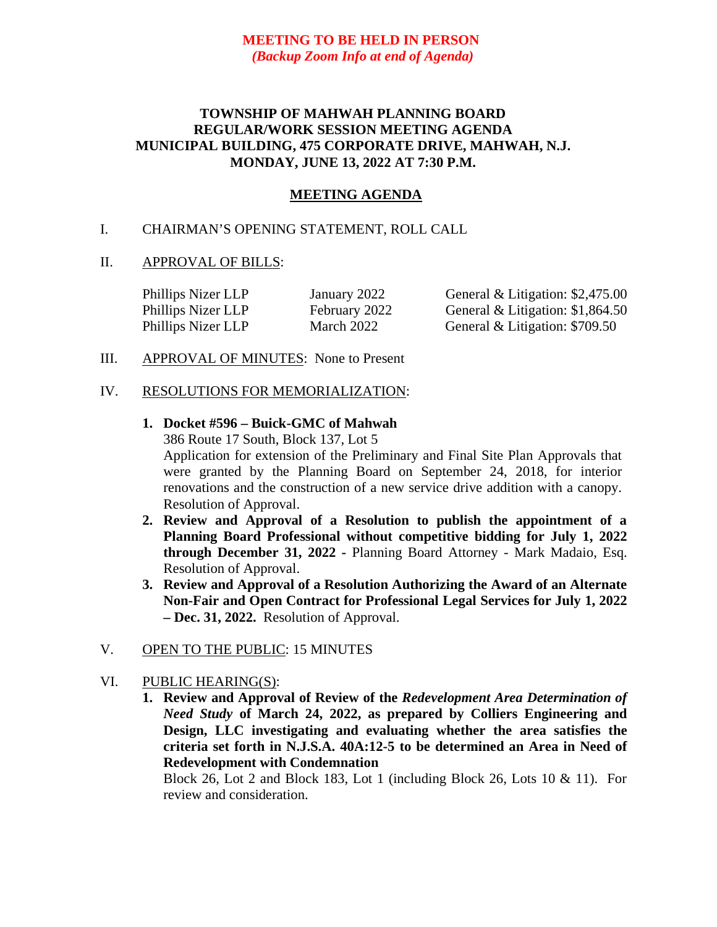# **MEETING TO BE HELD IN PERSON** *(Backup Zoom Info at end of Agenda)*

# **TOWNSHIP OF MAHWAH PLANNING BOARD REGULAR/WORK SESSION MEETING AGENDA MUNICIPAL BUILDING, 475 CORPORATE DRIVE, MAHWAH, N.J. MONDAY, JUNE 13, 2022 AT 7:30 P.M.**

# **MEETING AGENDA**

# I. CHAIRMAN'S OPENING STATEMENT, ROLL CALL

### II. APPROVAL OF BILLS:

| Phillips Nizer LLP | January 2022  | General & Litigation: $$2,475.00$ |
|--------------------|---------------|-----------------------------------|
| Phillips Nizer LLP | February 2022 | General & Litigation: $$1,864.50$ |
| Phillips Nizer LLP | March 2022    | General & Litigation: \$709.50    |

III. APPROVAL OF MINUTES: None to Present

#### IV. RESOLUTIONS FOR MEMORIALIZATION:

# **1. Docket #596 – Buick-GMC of Mahwah** 386 Route 17 South, Block 137, Lot 5 Application for extension of the Preliminary and Final Site Plan Approvals that were granted by the Planning Board on September 24, 2018, for interior renovations and the construction of a new service drive addition with a canopy. Resolution of Approval.

- **2. Review and Approval of a Resolution to publish the appointment of a Planning Board Professional without competitive bidding for July 1, 2022 through December 31, 2022 -** Planning Board Attorney - Mark Madaio, Esq. Resolution of Approval.
- **3. Review and Approval of a Resolution Authorizing the Award of an Alternate Non-Fair and Open Contract for Professional Legal Services for July 1, 2022 – Dec. 31, 2022.** Resolution of Approval.

### V. OPEN TO THE PUBLIC: 15 MINUTES

### VI. PUBLIC HEARING(S):

**1. Review and Approval of Review of the** *Redevelopment Area Determination of Need Study* **of March 24, 2022, as prepared by Colliers Engineering and Design, LLC investigating and evaluating whether the area satisfies the criteria set forth in N.J.S.A. 40A:12-5 to be determined an Area in Need of Redevelopment with Condemnation**

Block 26, Lot 2 and Block 183, Lot 1 (including Block 26, Lots  $10 \& 11$ ). For review and consideration.